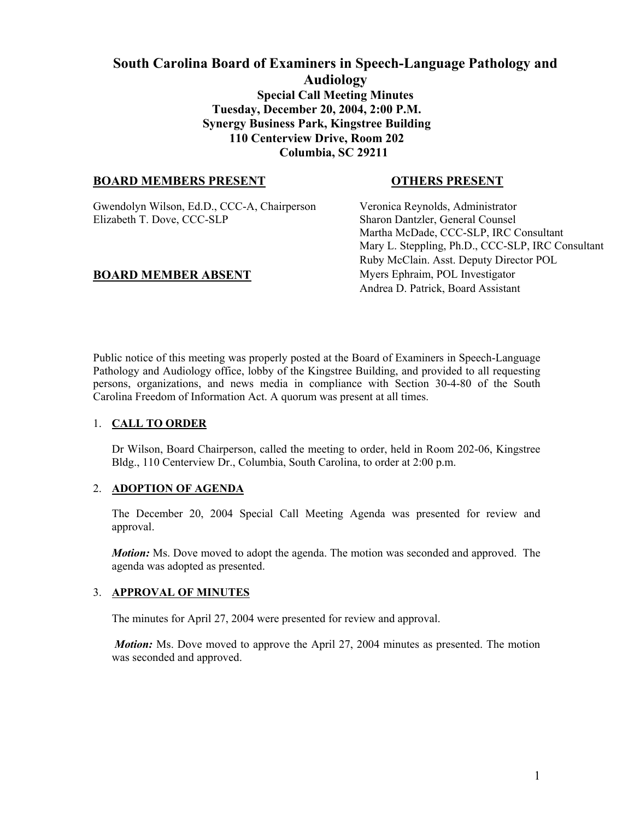# **South Carolina Board of Examiners in Speech-Language Pathology and Audiology Special Call Meeting Minutes Tuesday, December 20, 2004, 2:00 P.M. Synergy Business Park, Kingstree Building 110 Centerview Drive, Room 202 Columbia, SC 29211**

## **BOARD MEMBERS PRESENT OTHERS PRESENT**

Gwendolyn Wilson, Ed.D., CCC-A, Chairperson Veronica Reynolds, Administrator Elizabeth T. Dove, CCC-SLP Sharon Dantzler, General Counsel

Martha McDade, CCC-SLP, IRC Consultant Mary L. Steppling, Ph.D., CCC-SLP, IRC Consultant Ruby McClain. Asst. Deputy Director POL **BOARD MEMBER ABSENT** Myers Ephraim, POL Investigator Andrea D. Patrick, Board Assistant

Public notice of this meeting was properly posted at the Board of Examiners in Speech-Language Pathology and Audiology office, lobby of the Kingstree Building, and provided to all requesting persons, organizations, and news media in compliance with Section 30-4-80 of the South Carolina Freedom of Information Act. A quorum was present at all times.

## 1. **CALL TO ORDER**

Dr Wilson, Board Chairperson, called the meeting to order, held in Room 202-06, Kingstree Bldg., 110 Centerview Dr., Columbia, South Carolina, to order at 2:00 p.m.

## 2. **ADOPTION OF AGENDA**

The December 20, 2004 Special Call Meeting Agenda was presented for review and approval.

*Motion:* Ms. Dove moved to adopt the agenda. The motion was seconded and approved. The agenda was adopted as presented.

## 3. **APPROVAL OF MINUTES**

The minutes for April 27, 2004 were presented for review and approval.

*Motion:* Ms. Dove moved to approve the April 27, 2004 minutes as presented. The motion was seconded and approved.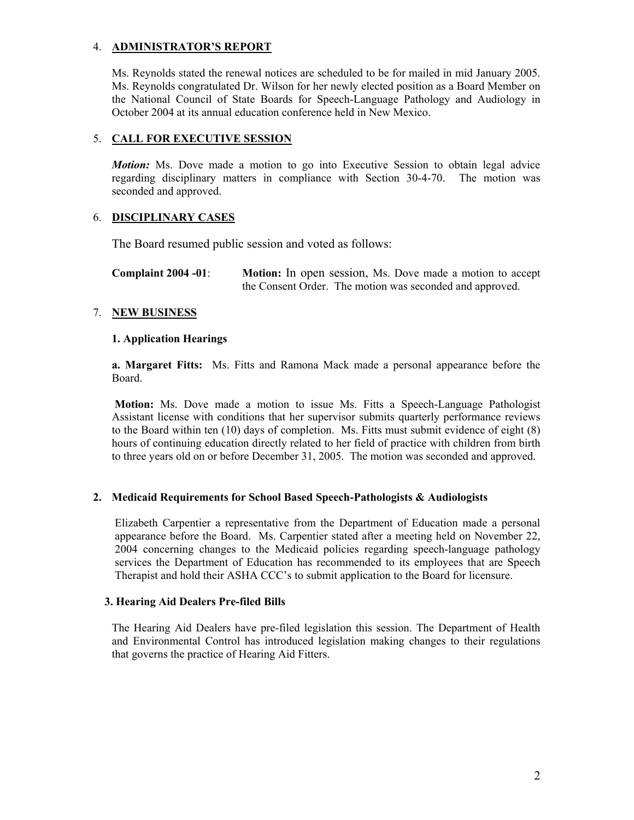## 4. **ADMINISTRATOR'S REPORT**

Ms. Reynolds stated the renewal notices are scheduled to be for mailed in mid January 2005. Ms. Reynolds congratulated Dr. Wilson for her newly elected position as a Board Member on the National Council of State Boards for Speech-Language Pathology and Audiology in October 2004 at its annual education conference held in New Mexico.

## 5. **CALL FOR EXECUTIVE SESSION**

*Motion:* Ms. Dove made a motion to go into Executive Session to obtain legal advice regarding disciplinary matters in compliance with Section 30-4-70. The motion was seconded and approved.

## 6. **DISCIPLINARY CASES**

The Board resumed public session and voted as follows:

**Complaint 2004 -01**: **Motion:** In open session, Ms. Dove made a motion to accept the Consent Order. The motion was seconded and approved.

## 7. **NEW BUSINESS**

## **1. Application Hearings**

**a. Margaret Fitts:** Ms. Fitts and Ramona Mack made a personal appearance before the Board.

 **Motion:** Ms. Dove made a motion to issue Ms. Fitts a Speech-Language Pathologist Assistant license with conditions that her supervisor submits quarterly performance reviews to the Board within ten (10) days of completion. Ms. Fitts must submit evidence of eight (8) hours of continuing education directly related to her field of practice with children from birth to three years old on or before December 31, 2005. The motion was seconded and approved.

## **2. Medicaid Requirements for School Based Speech-Pathologists & Audiologists**

Elizabeth Carpentier a representative from the Department of Education made a personal appearance before the Board. Ms. Carpentier stated after a meeting held on November 22, 2004 concerning changes to the Medicaid policies regarding speech-language pathology services the Department of Education has recommended to its employees that are Speech Therapist and hold their ASHA CCC's to submit application to the Board for licensure.

## **3. Hearing Aid Dealers Pre-filed Bills**

The Hearing Aid Dealers have pre-filed legislation this session. The Department of Health and Environmental Control has introduced legislation making changes to their regulations that governs the practice of Hearing Aid Fitters.